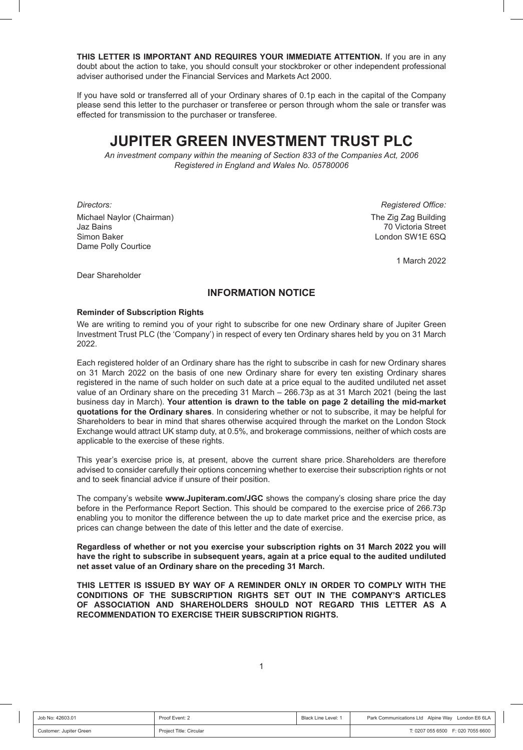**THIS LETTER IS IMPORTANT AND REQUIRES YOUR IMMEDIATE ATTENTION.** If you are in any doubt about the action to take, you should consult your stockbroker or other independent professional adviser authorised under the Financial Services and Markets Act 2000.

If you have sold or transferred all of your Ordinary shares of 0.1p each in the capital of the Company please send this letter to the purchaser or transferee or person through whom the sale or transfer was effected for transmission to the purchaser or transferee.

# **JUPITER GREEN INVESTMENT TRUST PLC**

*An investment company within the meaning of Section 833 of the Companies Act, 2006 Registered in England and Wales No. 05780006*

*Directors: Registered Office:* Michael Naylor (Chairman) Michael Naylor (Chairman) Jaz Bains 70 Victoria Street Simon Baker London SW1E 6SQ Dame Polly Courtice

1 March 2022

Dear Shareholder

## **INFORMATION NOTICE**

#### **Reminder of Subscription Rights**

We are writing to remind you of your right to subscribe for one new Ordinary share of Jupiter Green Investment Trust PLC (the 'Company') in respect of every ten Ordinary shares held by you on 31 March 2022.

Each registered holder of an Ordinary share has the right to subscribe in cash for new Ordinary shares on 31 March 2022 on the basis of one new Ordinary share for every ten existing Ordinary shares registered in the name of such holder on such date at a price equal to the audited undiluted net asset value of an Ordinary share on the preceding 31 March – 266.73p as at 31 March 2021 (being the last business day in March). **Your attention is drawn to the table on page 2 detailing the mid-market quotations for the Ordinary shares**. In considering whether or not to subscribe, it may be helpful for Shareholders to bear in mind that shares otherwise acquired through the market on the London Stock Exchange would attract UK stamp duty, at 0.5%, and brokerage commissions, neither of which costs are applicable to the exercise of these rights.

This year's exercise price is, at present, above the current share price. Shareholders are therefore advised to consider carefully their options concerning whether to exercise their subscription rights or not and to seek financial advice if unsure of their position.

The company's website **www.Jupiteram.com/JGC** shows the company's closing share price the day before in the Performance Report Section. This should be compared to the exercise price of 266.73p enabling you to monitor the difference between the up to date market price and the exercise price, as prices can change between the date of this letter and the date of exercise.

**Regardless of whether or not you exercise your subscription rights on 31 March 2022 you will have the right to subscribe in subsequent years, again at a price equal to the audited undiluted net asset value of an Ordinary share on the preceding 31 March.**

**THIS LETTER IS ISSUED BY WAY OF A REMINDER ONLY IN ORDER TO COMPLY WITH THE CONDITIONS OF THE SUBSCRIPTION RIGHTS SET OUT IN THE COMPANY'S ARTICLES OF ASSOCIATION AND SHAREHOLDERS SHOULD NOT REGARD THIS LETTER AS A RECOMMENDATION TO EXERCISE THEIR SUBSCRIPTION RIGHTS.**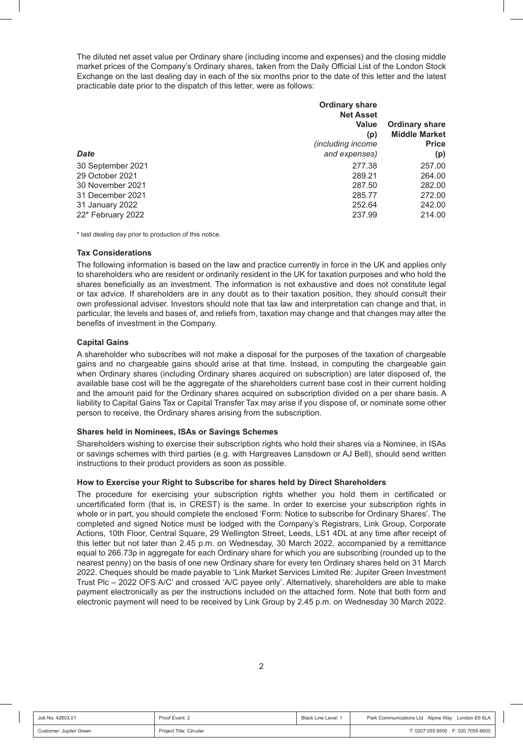The diluted net asset value per Ordinary share (including income and expenses) and the closing middle market prices of the Company's Ordinary shares, taken from the Daily Official List of the London Stock Exchange on the last dealing day in each of the six months prior to the date of this letter and the latest practicable date prior to the dispatch of this letter, were as follows:

| <b>Date</b>                                                                                     | <b>Ordinary share</b><br><b>Net Asset</b><br>Value<br>(p)<br><i>(including income</i><br>and expenses) | <b>Ordinary share</b><br><b>Middle Market</b><br><b>Price</b><br>(p) |
|-------------------------------------------------------------------------------------------------|--------------------------------------------------------------------------------------------------------|----------------------------------------------------------------------|
| 30 September 2021<br>29 October 2021<br>30 November 2021<br>31 December 2021<br>31 January 2022 | 277.38<br>289.21<br>287.50<br>285.77<br>252.64                                                         | 257.00<br>264.00<br>282.00<br>272.00<br>242.00                       |
| 22* February 2022                                                                               | 237.99                                                                                                 | 214.00                                                               |

\* last dealing day prior to production of this notice.

### **Tax Considerations**

The following information is based on the law and practice currently in force in the UK and applies only to shareholders who are resident or ordinarily resident in the UK for taxation purposes and who hold the shares beneficially as an investment. The information is not exhaustive and does not constitute legal or tax advice. If shareholders are in any doubt as to their taxation position, they should consult their own professional adviser. Investors should note that tax law and interpretation can change and that, in particular, the levels and bases of, and reliefs from, taxation may change and that changes may alter the benefits of investment in the Company.

### **Capital Gains**

A shareholder who subscribes will not make a disposal for the purposes of the taxation of chargeable gains and no chargeable gains should arise at that time. Instead, in computing the chargeable gain when Ordinary shares (including Ordinary shares acquired on subscription) are later disposed of, the available base cost will be the aggregate of the shareholders current base cost in their current holding and the amount paid for the Ordinary shares acquired on subscription divided on a per share basis. A liability to Capital Gains Tax or Capital Transfer Tax may arise if you dispose of, or nominate some other person to receive, the Ordinary shares arising from the subscription.

### **Shares held in Nominees, ISAs or Savings Schemes**

Shareholders wishing to exercise their subscription rights who hold their shares via a Nominee, in ISAs or savings schemes with third parties (e.g. with Hargreaves Lansdown or AJ Bell), should send written instructions to their product providers as soon as possible.

### **How to Exercise your Right to Subscribe for shares held by Direct Shareholders**

The procedure for exercising your subscription rights whether you hold them in certificated or uncertificated form (that is, in CREST) is the same. In order to exercise your subscription rights in whole or in part, you should complete the enclosed 'Form: Notice to subscribe for Ordinary Shares'. The completed and signed Notice must be lodged with the Company's Registrars, Link Group, Corporate Actions, 10th Floor, Central Square, 29 Wellington Street, Leeds, LS1 4DL at any time after receipt of this letter but not later than 2.45 p.m. on Wednesday, 30 March 2022, accompanied by a remittance equal to 266.73p in aggregate for each Ordinary share for which you are subscribing (rounded up to the nearest penny) on the basis of one new Ordinary share for every ten Ordinary shares held on 31 March 2022. Cheques should be made payable to 'Link Market Services Limited Re: Jupiter Green Investment Trust Plc – 2022 OFS A/C' and crossed 'A/C payee only'. Alternatively, shareholders are able to make payment electronically as per the instructions included on the attached form. Note that both form and electronic payment will need to be received by Link Group by 2.45 p.m. on Wednesday 30 March 2022.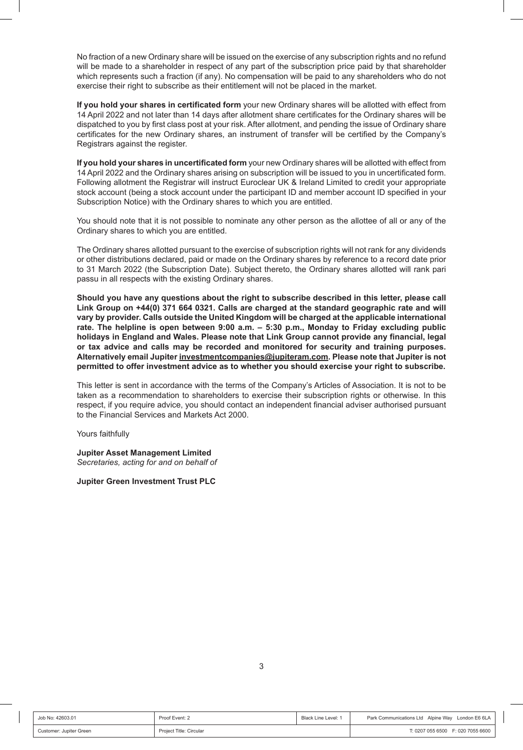No fraction of a new Ordinary share will be issued on the exercise of any subscription rights and no refund will be made to a shareholder in respect of any part of the subscription price paid by that shareholder which represents such a fraction (if any). No compensation will be paid to any shareholders who do not exercise their right to subscribe as their entitlement will not be placed in the market.

**If you hold your shares in certificated form** your new Ordinary shares will be allotted with effect from 14 April 2022 and not later than 14 days after allotment share certificates for the Ordinary shares will be dispatched to you by first class post at your risk. After allotment, and pending the issue of Ordinary share certificates for the new Ordinary shares, an instrument of transfer will be certified by the Company's Registrars against the register.

**If you hold your shares in uncertificated form** your new Ordinary shares will be allotted with effect from 14 April 2022 and the Ordinary shares arising on subscription will be issued to you in uncertificated form. Following allotment the Registrar will instruct Euroclear UK & Ireland Limited to credit your appropriate stock account (being a stock account under the participant ID and member account ID specified in your Subscription Notice) with the Ordinary shares to which you are entitled.

You should note that it is not possible to nominate any other person as the allottee of all or any of the Ordinary shares to which you are entitled.

The Ordinary shares allotted pursuant to the exercise of subscription rights will not rank for any dividends or other distributions declared, paid or made on the Ordinary shares by reference to a record date prior to 31 March 2022 (the Subscription Date). Subject thereto, the Ordinary shares allotted will rank pari passu in all respects with the existing Ordinary shares.

**Should you have any questions about the right to subscribe described in this letter, please call Link Group on +44(0) 371 664 0321. Calls are charged at the standard geographic rate and will vary by provider. Calls outside the United Kingdom will be charged at the applicable international rate. The helpline is open between 9:00 a.m. – 5:30 p.m., Monday to Friday excluding public holidays in England and Wales. Please note that Link Group cannot provide any financial, legal or tax advice and calls may be recorded and monitored for security and training purposes. Alternatively email Jupiter investmentcompanies@jupiteram.com. Please note that Jupiter is not permitted to offer investment advice as to whether you should exercise your right to subscribe.**

This letter is sent in accordance with the terms of the Company's Articles of Association. It is not to be taken as a recommendation to shareholders to exercise their subscription rights or otherwise. In this respect, if you require advice, you should contact an independent financial adviser authorised pursuant to the Financial Services and Markets Act 2000.

Yours faithfully

**Jupiter Asset Management Limited** *Secretaries, acting for and on behalf of*

**Jupiter Green Investment Trust PLC**